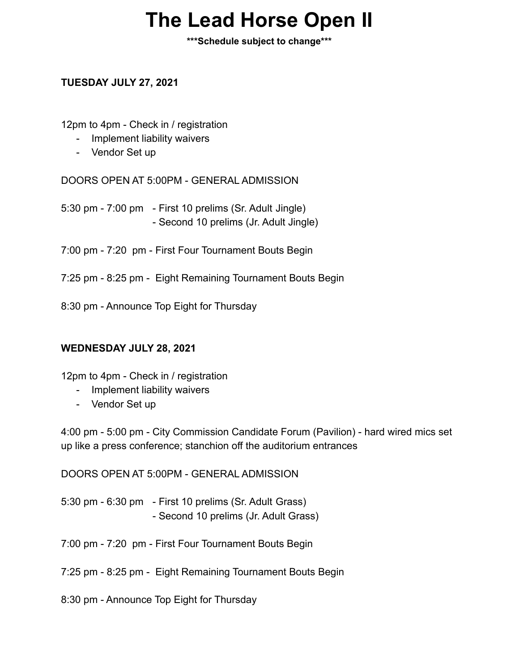## **The Lead Horse Open II**

**\*\*\*Schedule subject to change\*\*\***

## **TUESDAY JULY 27, 2021**

12pm to 4pm - Check in / registration

- Implement liability waivers
- Vendor Set up

DOORS OPEN AT 5:00PM - GENERAL ADMISSION

5:30 pm - 7:00 pm - First 10 prelims (Sr. Adult Jingle) - Second 10 prelims (Jr. Adult Jingle)

7:00 pm - 7:20 pm - First Four Tournament Bouts Begin

7:25 pm - 8:25 pm - Eight Remaining Tournament Bouts Begin

8:30 pm - Announce Top Eight for Thursday

## **WEDNESDAY JULY 28, 2021**

12pm to 4pm - Check in / registration

- Implement liability waivers
- Vendor Set up

4:00 pm - 5:00 pm - City Commission Candidate Forum (Pavilion) - hard wired mics set up like a press conference; stanchion off the auditorium entrances

DOORS OPEN AT 5:00PM - GENERAL ADMISSION

5:30 pm - 6:30 pm - First 10 prelims (Sr. Adult Grass) - Second 10 prelims (Jr. Adult Grass)

7:00 pm - 7:20 pm - First Four Tournament Bouts Begin

7:25 pm - 8:25 pm - Eight Remaining Tournament Bouts Begin

8:30 pm - Announce Top Eight for Thursday